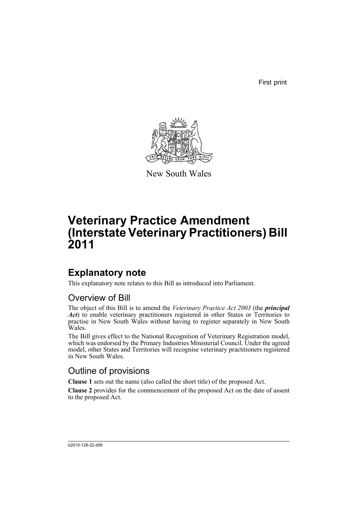First print



New South Wales

# **Veterinary Practice Amendment (Interstate Veterinary Practitioners) Bill 2011**

## **Explanatory note**

This explanatory note relates to this Bill as introduced into Parliament.

### Overview of Bill

The object of this Bill is to amend the *Veterinary Practice Act 2003* (the *principal Act*) to enable veterinary practitioners registered in other States or Territories to practise in New South Wales without having to register separately in New South Wales.

The Bill gives effect to the National Recognition of Veterinary Registration model, which was endorsed by the Primary Industries Ministerial Council. Under the agreed model, other States and Territories will recognise veterinary practitioners registered in New South Wales.

### Outline of provisions

**Clause 1** sets out the name (also called the short title) of the proposed Act.

**Clause 2** provides for the commencement of the proposed Act on the date of assent to the proposed Act.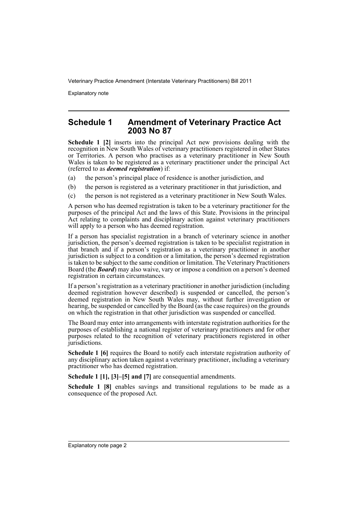Explanatory note

#### **Schedule 1 Amendment of Veterinary Practice Act 2003 No 87**

**Schedule 1 [2]** inserts into the principal Act new provisions dealing with the recognition in New South Wales of veterinary practitioners registered in other States or Territories. A person who practises as a veterinary practitioner in New South Wales is taken to be registered as a veterinary practitioner under the principal Act (referred to as *deemed registration*) if:

- (a) the person's principal place of residence is another jurisdiction, and
- (b) the person is registered as a veterinary practitioner in that jurisdiction, and
- (c) the person is not registered as a veterinary practitioner in New South Wales.

A person who has deemed registration is taken to be a veterinary practitioner for the purposes of the principal Act and the laws of this State. Provisions in the principal Act relating to complaints and disciplinary action against veterinary practitioners will apply to a person who has deemed registration.

If a person has specialist registration in a branch of veterinary science in another jurisdiction, the person's deemed registration is taken to be specialist registration in that branch and if a person's registration as a veterinary practitioner in another jurisdiction is subject to a condition or a limitation, the person's deemed registration is taken to be subject to the same condition or limitation. The Veterinary Practitioners Board (the *Board*) may also waive, vary or impose a condition on a person's deemed registration in certain circumstances.

If a person's registration as a veterinary practitioner in another jurisdiction (including deemed registration however described) is suspended or cancelled, the person's deemed registration in New South Wales may, without further investigation or hearing, be suspended or cancelled by the Board (as the case requires) on the grounds on which the registration in that other jurisdiction was suspended or cancelled.

The Board may enter into arrangements with interstate registration authorities for the purposes of establishing a national register of veterinary practitioners and for other purposes related to the recognition of veterinary practitioners registered in other jurisdictions.

**Schedule 1 [6]** requires the Board to notify each interstate registration authority of any disciplinary action taken against a veterinary practitioner, including a veterinary practitioner who has deemed registration.

**Schedule 1 [1], [3]–[5] and [7]** are consequential amendments.

**Schedule 1 [8]** enables savings and transitional regulations to be made as a consequence of the proposed Act.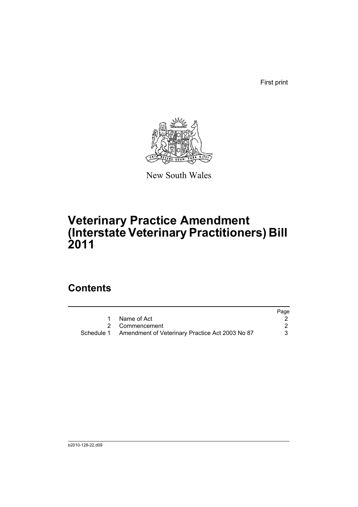First print



New South Wales

# **Veterinary Practice Amendment (Interstate Veterinary Practitioners) Bill 2011**

## **Contents**

|                                                            | Page |
|------------------------------------------------------------|------|
| 1 Name of Act                                              |      |
| 2 Commencement                                             |      |
| Schedule 1 Amendment of Veterinary Practice Act 2003 No 87 | 3    |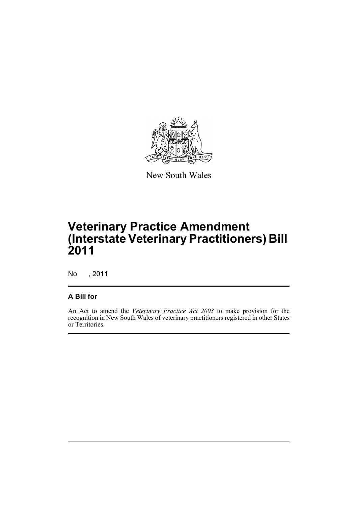

New South Wales

# **Veterinary Practice Amendment (Interstate Veterinary Practitioners) Bill 2011**

No , 2011

#### **A Bill for**

An Act to amend the *Veterinary Practice Act 2003* to make provision for the recognition in New South Wales of veterinary practitioners registered in other States or Territories.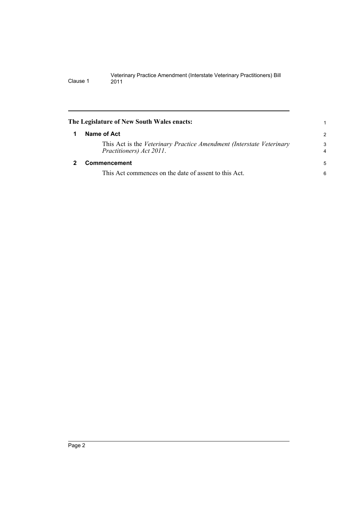<span id="page-5-1"></span><span id="page-5-0"></span>

|   | The Legislature of New South Wales enacts:                                                       | 1             |
|---|--------------------------------------------------------------------------------------------------|---------------|
| 1 | Name of Act                                                                                      | $\mathcal{P}$ |
|   | This Act is the Veterinary Practice Amendment (Interstate Veterinary<br>Practitioners) Act 2011. | 3<br>4        |
| 2 | Commencement                                                                                     | -5            |
|   | This Act commences on the date of assent to this Act.                                            | 6             |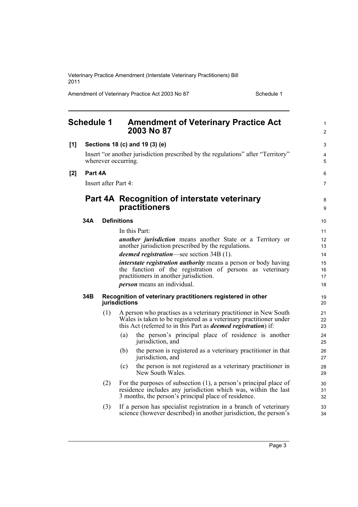Amendment of Veterinary Practice Act 2003 No 87 Schedule 1

<span id="page-6-0"></span>

| <b>Schedule 1</b> |         |                      | <b>Amendment of Veterinary Practice Act</b><br>2003 No 87                                                                                                                                                        | 1<br>$\overline{2}$ |
|-------------------|---------|----------------------|------------------------------------------------------------------------------------------------------------------------------------------------------------------------------------------------------------------|---------------------|
| $[1]$             |         |                      | Sections 18 (c) and 19 (3) (e)                                                                                                                                                                                   | 3                   |
|                   |         |                      | Insert "or another jurisdiction prescribed by the regulations" after "Territory"<br>wherever occurring.                                                                                                          | 4<br>5              |
| [2]               | Part 4A |                      |                                                                                                                                                                                                                  | 6                   |
|                   |         | Insert after Part 4: |                                                                                                                                                                                                                  | $\overline{7}$      |
|                   |         |                      | Part 4A Recognition of interstate veterinary<br>practitioners                                                                                                                                                    | 8<br>9              |
|                   | 34A     |                      | <b>Definitions</b>                                                                                                                                                                                               | 10                  |
|                   |         |                      | In this Part:                                                                                                                                                                                                    | 11                  |
|                   |         |                      | <i>another jurisdiction</i> means another State or a Territory or<br>another jurisdiction prescribed by the regulations.                                                                                         | 12<br>13            |
|                   |         |                      | <i>deemed registration</i> —see section 34B (1).                                                                                                                                                                 | 14                  |
|                   |         |                      | <i>interstate registration authority</i> means a person or body having<br>the function of the registration of persons as veterinary<br>practitioners in another jurisdiction.                                    | 15<br>16<br>17      |
|                   |         |                      | <i>person</i> means an individual.                                                                                                                                                                               | 18                  |
|                   | 34B     |                      | Recognition of veterinary practitioners registered in other<br>jurisdictions                                                                                                                                     | 19<br>20            |
|                   |         | (1)                  | A person who practises as a veterinary practitioner in New South<br>Wales is taken to be registered as a veterinary practitioner under<br>this Act (referred to in this Part as <i>deemed registration</i> ) if: | 21<br>22<br>23      |
|                   |         |                      | the person's principal place of residence is another<br>(a)<br>jurisdiction, and                                                                                                                                 | 24<br>25            |
|                   |         |                      | (b)<br>the person is registered as a veterinary practitioner in that<br>jurisdiction, and                                                                                                                        | 26<br>27            |
|                   |         |                      | (c)<br>the person is not registered as a veterinary practitioner in<br>New South Wales.                                                                                                                          | 28<br>29            |
|                   |         | (2)                  | For the purposes of subsection $(1)$ , a person's principal place of<br>residence includes any jurisdiction which was, within the last<br>3 months, the person's principal place of residence.                   | 30<br>31<br>32      |
|                   |         | (3)                  | If a person has specialist registration in a branch of veterinary<br>science (however described) in another jurisdiction, the person's                                                                           | 33<br>34            |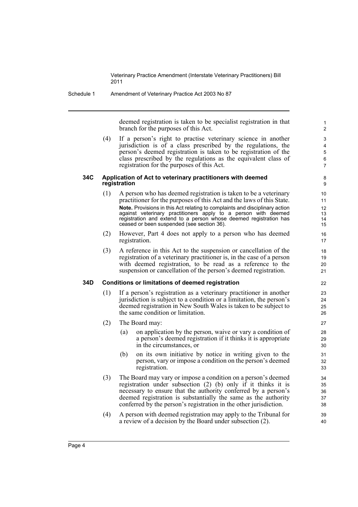Schedule 1 Amendment of Veterinary Practice Act 2003 No 87

deemed registration is taken to be specialist registration in that branch for the purposes of this Act.

(4) If a person's right to practise veterinary science in another jurisdiction is of a class prescribed by the regulations, the person's deemed registration is taken to be registration of the class prescribed by the regulations as the equivalent class of registration for the purposes of this Act.

#### **34C Application of Act to veterinary practitioners with deemed registration**

- (1) A person who has deemed registration is taken to be a veterinary practitioner for the purposes of this Act and the laws of this State. **Note.** Provisions in this Act relating to complaints and disciplinary action against veterinary practitioners apply to a person with deemed registration and extend to a person whose deemed registration has ceased or been suspended (see section 36).
- (2) However, Part 4 does not apply to a person who has deemed registration.
- (3) A reference in this Act to the suspension or cancellation of the registration of a veterinary practitioner is, in the case of a person with deemed registration, to be read as a reference to the suspension or cancellation of the person's deemed registration.

#### **34D Conditions or limitations of deemed registration**

- (1) If a person's registration as a veterinary practitioner in another jurisdiction is subject to a condition or a limitation, the person's deemed registration in New South Wales is taken to be subject to the same condition or limitation.
- (2) The Board may:
	- (a) on application by the person, waive or vary a condition of a person's deemed registration if it thinks it is appropriate in the circumstances, or
	- (b) on its own initiative by notice in writing given to the person, vary or impose a condition on the person's deemed registration.
- (3) The Board may vary or impose a condition on a person's deemed registration under subsection (2) (b) only if it thinks it is necessary to ensure that the authority conferred by a person's deemed registration is substantially the same as the authority conferred by the person's registration in the other jurisdiction.
- (4) A person with deemed registration may apply to the Tribunal for a review of a decision by the Board under subsection (2).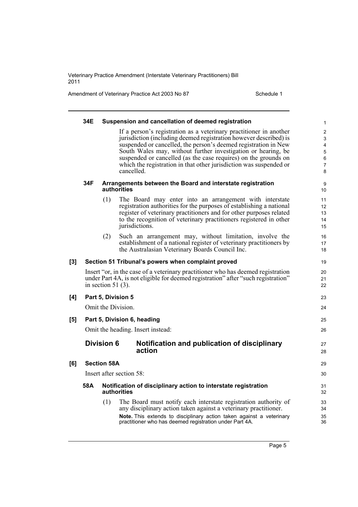Amendment of Veterinary Practice Act 2003 No 87 Schedule 1

|     | 34E                               |                       | Suspension and cancellation of deemed registration                                                                                       |  |
|-----|-----------------------------------|-----------------------|------------------------------------------------------------------------------------------------------------------------------------------|--|
|     |                                   |                       | If a person's registration as a veterinary practitioner in another<br>jurisdiction (including deemed registration however described) is  |  |
|     |                                   |                       | suspended or cancelled, the person's deemed registration in New                                                                          |  |
|     |                                   |                       | South Wales may, without further investigation or hearing, be                                                                            |  |
|     |                                   |                       | suspended or cancelled (as the case requires) on the grounds on<br>which the registration in that other jurisdiction was suspended or    |  |
|     |                                   |                       | cancelled.                                                                                                                               |  |
|     | 34F                               |                       | Arrangements between the Board and interstate registration<br>authorities                                                                |  |
|     |                                   | (1)                   | The Board may enter into an arrangement with interstate                                                                                  |  |
|     |                                   |                       | registration authorities for the purposes of establishing a national                                                                     |  |
|     |                                   |                       | register of veterinary practitioners and for other purposes related                                                                      |  |
|     |                                   |                       | to the recognition of veterinary practitioners registered in other<br>jurisdictions.                                                     |  |
|     |                                   | (2)                   | Such an arrangement may, without limitation, involve the                                                                                 |  |
|     |                                   |                       | establishment of a national register of veterinary practitioners by                                                                      |  |
|     |                                   |                       | the Australasian Veterinary Boards Council Inc.                                                                                          |  |
| [3] |                                   |                       | Section 51 Tribunal's powers when complaint proved                                                                                       |  |
|     |                                   |                       | Insert "or, in the case of a veterinary practitioner who has deemed registration                                                         |  |
|     |                                   | in section 51 $(3)$ . | under Part 4A, is not eligible for deemed registration" after "such registration"                                                        |  |
| [4] |                                   |                       | Part 5, Division 5                                                                                                                       |  |
|     |                                   |                       | Omit the Division.                                                                                                                       |  |
| [5] | Part 5, Division 6, heading       |                       |                                                                                                                                          |  |
|     | Omit the heading. Insert instead: |                       |                                                                                                                                          |  |
|     |                                   | <b>Division 6</b>     | Notification and publication of disciplinary<br>action                                                                                   |  |
|     |                                   |                       |                                                                                                                                          |  |
| [6] |                                   | <b>Section 58A</b>    |                                                                                                                                          |  |
|     |                                   |                       | Insert after section 58:                                                                                                                 |  |
|     | 58A                               |                       | Notification of disciplinary action to interstate registration<br>authorities                                                            |  |
|     |                                   | (1)                   | The Board must notify each interstate registration authority of                                                                          |  |
|     |                                   |                       | any disciplinary action taken against a veterinary practitioner.<br>Note. This extends to disciplinary action taken against a veterinary |  |